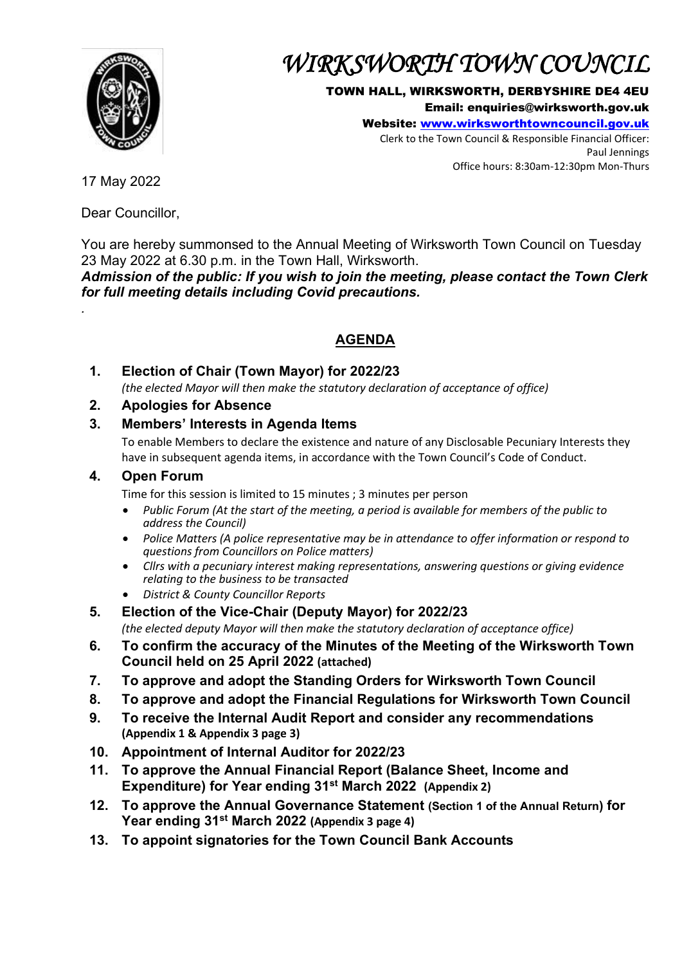

# *WIRKSWORTH TOWN COUNCIL*

#### TOWN HALL, WIRKSWORTH, DERBYSHIRE DE4 4EU

Email: enquiries@wirksworth.gov.uk

Website: [www.wirksworthtowncouncil.gov.uk](http://www.wirksworthtowncouncil.gov.uk/)

Clerk to the Town Council & Responsible Financial Officer: Paul Jennings Office hours: 8:30am-12:30pm Mon-Thurs

17 May 2022

*.*

Dear Councillor,

You are hereby summonsed to the Annual Meeting of Wirksworth Town Council on Tuesday 23 May 2022 at 6.30 p.m. in the Town Hall, Wirksworth.

*Admission of the public: If you wish to join the meeting, please contact the Town Clerk for full meeting details including Covid precautions.*

# **AGENDA**

- **1. Election of Chair (Town Mayor) for 2022/23** *(the elected Mayor will then make the statutory declaration of acceptance of office)*
- **2. Apologies for Absence**

## **3. Members' Interests in Agenda Items**

To enable Members to declare the existence and nature of any Disclosable Pecuniary Interests they have in subsequent agenda items, in accordance with the Town Council's Code of Conduct.

### **4. Open Forum**

Time for this session is limited to 15 minutes ; 3 minutes per person

- *Public Forum (At the start of the meeting, a period is available for members of the public to address the Council)*
- *Police Matters (A police representative may be in attendance to offer information or respond to questions from Councillors on Police matters)*
- *Cllrs with a pecuniary interest making representations, answering questions or giving evidence relating to the business to be transacted*
- *District & County Councillor Reports*
- **5. Election of the Vice-Chair (Deputy Mayor) for 2022/23**

*(the elected deputy Mayor will then make the statutory declaration of acceptance office)*

- **6. To confirm the accuracy of the Minutes of the Meeting of the Wirksworth Town Council held on 25 April 2022 (attached)**
- **7. To approve and adopt the Standing Orders for Wirksworth Town Council**
- **8. To approve and adopt the Financial Regulations for Wirksworth Town Council**
- **9. To receive the Internal Audit Report and consider any recommendations (Appendix 1 & Appendix 3 page 3)**
- **10. Appointment of Internal Auditor for 2022/23**
- **11. To approve the Annual Financial Report (Balance Sheet, Income and Expenditure) for Year ending 31st March 2022 (Appendix 2)**
- **12. To approve the Annual Governance Statement (Section 1 of the Annual Return) for Year ending 31st March 2022 (Appendix 3 page 4)**
- **13. To appoint signatories for the Town Council Bank Accounts**